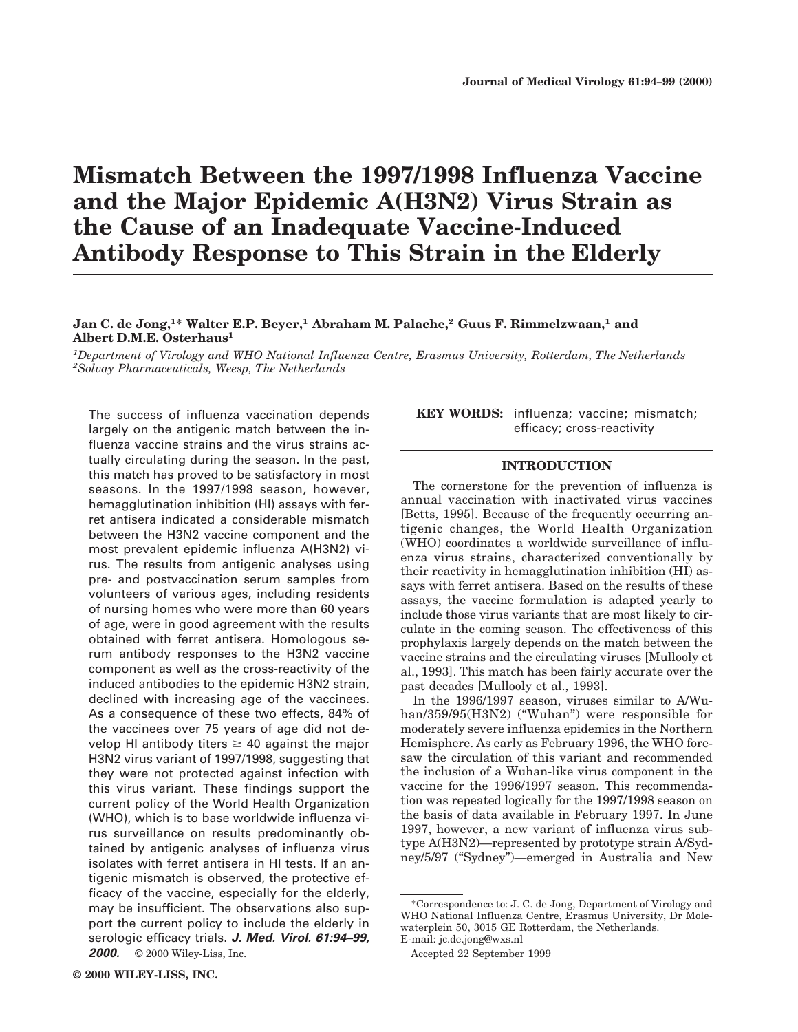# **Mismatch Between the 1997/1998 Influenza Vaccine and the Major Epidemic A(H3N2) Virus Strain as the Cause of an Inadequate Vaccine-Induced Antibody Response to This Strain in the Elderly**

# **Jan C. de Jong,1\* Walter E.P. Beyer,1 Abraham M. Palache,<sup>2</sup> Guus F. Rimmelzwaan,<sup>1</sup> and Albert D.M.E. Osterhaus<sup>1</sup>**

*1Department of Virology and WHO National Influenza Centre, Erasmus University, Rotterdam, The Netherlands 2Solvay Pharmaceuticals, Weesp, The Netherlands*

The success of influenza vaccination depends largely on the antigenic match between the influenza vaccine strains and the virus strains actually circulating during the season. In the past, this match has proved to be satisfactory in most seasons. In the 1997/1998 season, however, hemagglutination inhibition (HI) assays with ferret antisera indicated a considerable mismatch between the H3N2 vaccine component and the most prevalent epidemic influenza A(H3N2) virus. The results from antigenic analyses using pre- and postvaccination serum samples from volunteers of various ages, including residents of nursing homes who were more than 60 years of age, were in good agreement with the results obtained with ferret antisera. Homologous serum antibody responses to the H3N2 vaccine component as well as the cross-reactivity of the induced antibodies to the epidemic H3N2 strain, declined with increasing age of the vaccinees. As a consequence of these two effects, 84% of the vaccinees over 75 years of age did not develop HI antibody titers  $\geq 40$  against the major H3N2 virus variant of 1997/1998, suggesting that they were not protected against infection with this virus variant. These findings support the current policy of the World Health Organization (WHO), which is to base worldwide influenza virus surveillance on results predominantly obtained by antigenic analyses of influenza virus isolates with ferret antisera in HI tests. If an antigenic mismatch is observed, the protective efficacy of the vaccine, especially for the elderly, may be insufficient. The observations also support the current policy to include the elderly in serologic efficacy trials. **J. Med. Virol. 61:94–99, 2000.** © 2000 Wiley-Liss, Inc.

**KEY WORDS:** influenza; vaccine; mismatch; efficacy; cross-reactivity

## **INTRODUCTION**

The cornerstone for the prevention of influenza is annual vaccination with inactivated virus vaccines [Betts, 1995]. Because of the frequently occurring antigenic changes, the World Health Organization (WHO) coordinates a worldwide surveillance of influenza virus strains, characterized conventionally by their reactivity in hemagglutination inhibition (HI) assays with ferret antisera. Based on the results of these assays, the vaccine formulation is adapted yearly to include those virus variants that are most likely to circulate in the coming season. The effectiveness of this prophylaxis largely depends on the match between the vaccine strains and the circulating viruses [Mullooly et al., 1993]. This match has been fairly accurate over the past decades [Mullooly et al., 1993].

In the 1996/1997 season, viruses similar to A/Wuhan/359/95(H3N2) ("Wuhan") were responsible for moderately severe influenza epidemics in the Northern Hemisphere. As early as February 1996, the WHO foresaw the circulation of this variant and recommended the inclusion of a Wuhan-like virus component in the vaccine for the 1996/1997 season. This recommendation was repeated logically for the 1997/1998 season on the basis of data available in February 1997. In June 1997, however, a new variant of influenza virus subtype A(H3N2)—represented by prototype strain A/Sydney/5/97 ("Sydney")—emerged in Australia and New

<sup>\*</sup>Correspondence to: J. C. de Jong, Department of Virology and WHO National Influenza Centre, Erasmus University, Dr Molewaterplein 50, 3015 GE Rotterdam, the Netherlands. E-mail: jc.de.jong@wxs.nl

Accepted 22 September 1999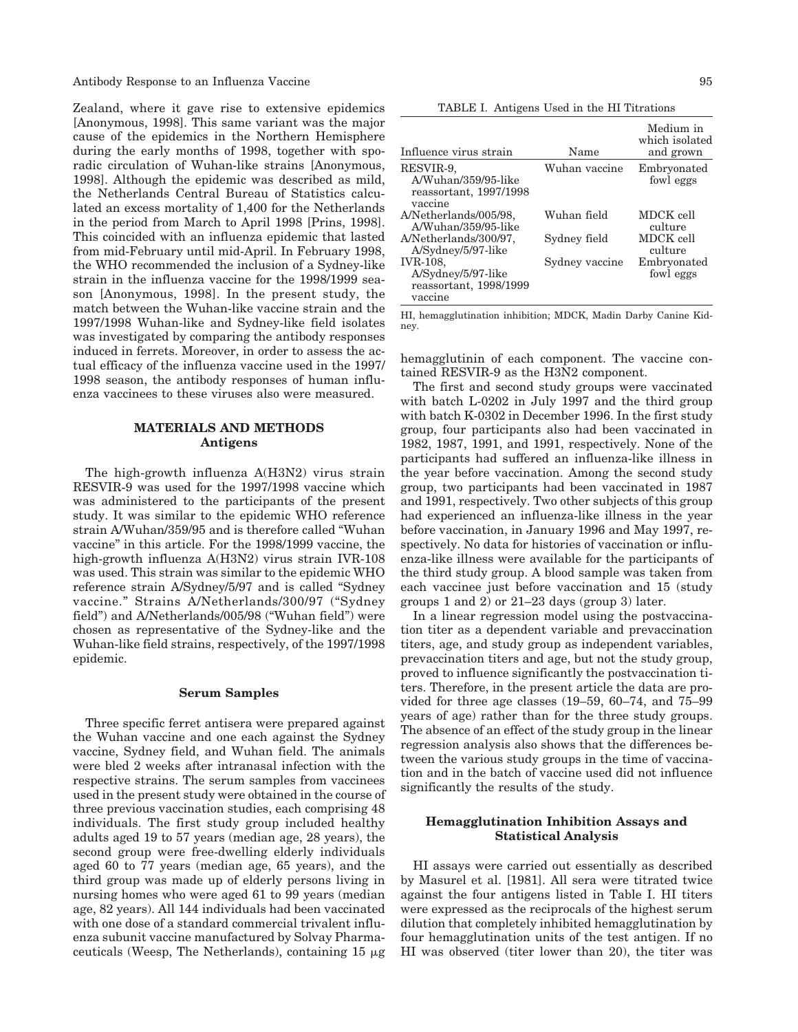Antibody Response to an Influenza Vaccine 95

Zealand, where it gave rise to extensive epidemics [Anonymous, 1998]. This same variant was the major cause of the epidemics in the Northern Hemisphere during the early months of 1998, together with sporadic circulation of Wuhan-like strains [Anonymous, 1998]. Although the epidemic was described as mild, the Netherlands Central Bureau of Statistics calculated an excess mortality of 1,400 for the Netherlands in the period from March to April 1998 [Prins, 1998]. This coincided with an influenza epidemic that lasted from mid-February until mid-April. In February 1998, the WHO recommended the inclusion of a Sydney-like strain in the influenza vaccine for the 1998/1999 season [Anonymous, 1998]. In the present study, the match between the Wuhan-like vaccine strain and the 1997/1998 Wuhan-like and Sydney-like field isolates was investigated by comparing the antibody responses induced in ferrets. Moreover, in order to assess the actual efficacy of the influenza vaccine used in the 1997/ 1998 season, the antibody responses of human influenza vaccinees to these viruses also were measured.

## **MATERIALS AND METHODS Antigens**

The high-growth influenza A(H3N2) virus strain RESVIR-9 was used for the 1997/1998 vaccine which was administered to the participants of the present study. It was similar to the epidemic WHO reference strain A/Wuhan/359/95 and is therefore called "Wuhan vaccine" in this article. For the 1998/1999 vaccine, the high-growth influenza A(H3N2) virus strain IVR-108 was used. This strain was similar to the epidemic WHO reference strain A/Sydney/5/97 and is called "Sydney vaccine." Strains A/Netherlands/300/97 ("Sydney field") and A/Netherlands/005/98 ("Wuhan field") were chosen as representative of the Sydney-like and the Wuhan-like field strains, respectively, of the 1997/1998 epidemic.

#### **Serum Samples**

Three specific ferret antisera were prepared against the Wuhan vaccine and one each against the Sydney vaccine, Sydney field, and Wuhan field. The animals were bled 2 weeks after intranasal infection with the respective strains. The serum samples from vaccinees used in the present study were obtained in the course of three previous vaccination studies, each comprising 48 individuals. The first study group included healthy adults aged 19 to 57 years (median age, 28 years), the second group were free-dwelling elderly individuals aged 60 to 77 years (median age, 65 years), and the third group was made up of elderly persons living in nursing homes who were aged 61 to 99 years (median age, 82 years). All 144 individuals had been vaccinated with one dose of a standard commercial trivalent influenza subunit vaccine manufactured by Solvay Pharmaceuticals (Weesp, The Netherlands), containing  $15 \mu$ g

TABLE I. Antigens Used in the HI Titrations

| Influence virus strain                                                | Name           | Medium in<br>which isolated<br>and grown |
|-----------------------------------------------------------------------|----------------|------------------------------------------|
| RESVIR-9.<br>A/Wuhan/359/95-like<br>reassortant, 1997/1998<br>vaccine | Wuhan vaccine  | Embryonated<br>fowl eggs                 |
| A/Netherlands/005/98.<br>A/Wuhan/359/95-like                          | Wuhan field    | MDCK cell<br>culture                     |
| A/Netherlands/300/97.<br>A/Sydney/5/97-like                           | Sydney field   | MDCK cell<br>culture                     |
| IVR-108.<br>A/Sydney/5/97-like<br>reassortant, 1998/1999<br>vaccine   | Sydney vaccine | Embryonated<br>fowl eggs                 |

HI, hemagglutination inhibition; MDCK, Madin Darby Canine Kidney.

hemagglutinin of each component. The vaccine contained RESVIR-9 as the H3N2 component.

The first and second study groups were vaccinated with batch L-0202 in July 1997 and the third group with batch K-0302 in December 1996. In the first study group, four participants also had been vaccinated in 1982, 1987, 1991, and 1991, respectively. None of the participants had suffered an influenza-like illness in the year before vaccination. Among the second study group, two participants had been vaccinated in 1987 and 1991, respectively. Two other subjects of this group had experienced an influenza-like illness in the year before vaccination, in January 1996 and May 1997, respectively. No data for histories of vaccination or influenza-like illness were available for the participants of the third study group. A blood sample was taken from each vaccinee just before vaccination and 15 (study groups 1 and 2) or 21–23 days (group 3) later.

In a linear regression model using the postvaccination titer as a dependent variable and prevaccination titers, age, and study group as independent variables, prevaccination titers and age, but not the study group, proved to influence significantly the postvaccination titers. Therefore, in the present article the data are provided for three age classes (19–59, 60–74, and 75–99 years of age) rather than for the three study groups. The absence of an effect of the study group in the linear regression analysis also shows that the differences between the various study groups in the time of vaccination and in the batch of vaccine used did not influence significantly the results of the study.

## **Hemagglutination Inhibition Assays and Statistical Analysis**

HI assays were carried out essentially as described by Masurel et al. [1981]. All sera were titrated twice against the four antigens listed in Table I. HI titers were expressed as the reciprocals of the highest serum dilution that completely inhibited hemagglutination by four hemagglutination units of the test antigen. If no HI was observed (titer lower than 20), the titer was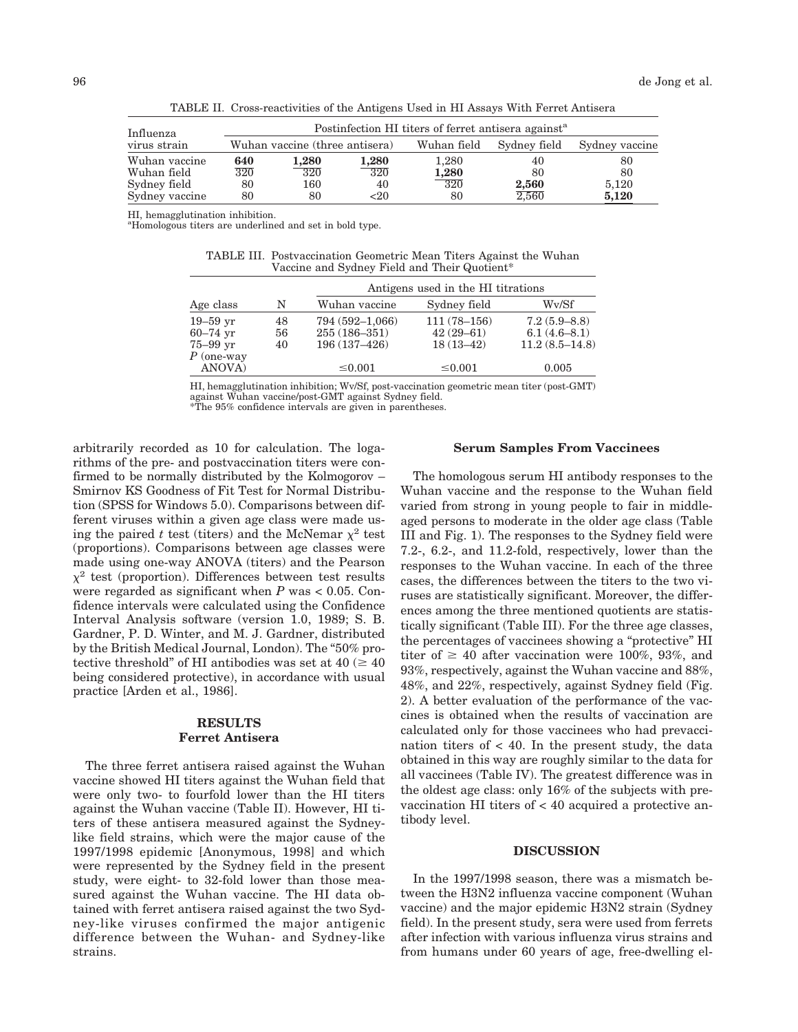| Influenza      | Postinfection HI titers of ferret antisera against <sup>a</sup> |                                |                  |             |              |                |
|----------------|-----------------------------------------------------------------|--------------------------------|------------------|-------------|--------------|----------------|
| virus strain   |                                                                 | Wuhan vaccine (three antisera) |                  | Wuhan field | Sydney field | Sydney vaccine |
| Wuhan vaccine  | 640                                                             | 1,280                          | 1,280            | 1,280       | 40           | 80             |
| Wuhan field    | $\overline{320}$                                                | $\overline{320}$               | $\overline{320}$ | 1,280       | 80           | 80             |
| Sydney field   | 80                                                              | 160                            | 40               | $-320$      | 2,560        | 5,120          |
| Sydney vaccine | 80                                                              | 80                             | $20$             | 80          | 2.560        | 5,120          |

TABLE II. Cross-reactivities of the Antigens Used in HI Assays With Ferret Antisera

HI, hemagglutination inhibition.

<sup>a</sup>Homologous titers are underlined and set in bold type.

TABLE III. Postvaccination Geometric Mean Titers Against the Wuhan Vaccine and Sydney Field and Their Quotient\*

|                |    | Antigens used in the HI titrations |                 |                  |  |
|----------------|----|------------------------------------|-----------------|------------------|--|
| Age class      | N  | Wuhan vaccine                      | Sydney field    | Wy/Sf            |  |
| $19-59$ yr     | 48 | 794 (592-1,066)                    | $111(78 - 156)$ | $7.2(5.9 - 8.8)$ |  |
| $60 - 74$ yr   | 56 | $255(186 - 351)$                   | $42(29 - 61)$   | $6.1(4.6-8.1)$   |  |
| $75 - 99$ yr   | 40 | 196 (137-426)                      | $18(13-42)$     | $11.2(8.5-14.8)$ |  |
| $P$ (one-way   |    |                                    |                 |                  |  |
| <b>ANOVA</b> ) |    | $\leq 0.001$                       | $\leq 0.001$    | 0.005            |  |

HI, hemagglutination inhibition; Wv/Sf, post-vaccination geometric mean titer (post-GMT) against Wuhan vaccine/post-GMT against Sydney field. \*The 95% confidence intervals are given in parentheses.

arbitrarily recorded as 10 for calculation. The logarithms of the pre- and postvaccination titers were confirmed to be normally distributed by the Kolmogorov – Smirnov KS Goodness of Fit Test for Normal Distribution (SPSS for Windows 5.0). Comparisons between different viruses within a given age class were made using the paired *t* test (titers) and the McNemar  $\chi^2$  test (proportions). Comparisons between age classes were made using one-way ANOVA (titers) and the Pearson  $x^2$  test (proportion). Differences between test results were regarded as significant when *P* was < 0.05. Confidence intervals were calculated using the Confidence Interval Analysis software (version 1.0, 1989; S. B. Gardner, P. D. Winter, and M. J. Gardner, distributed by the British Medical Journal, London). The "50% protective threshold" of HI antibodies was set at  $40 \approx 40$ being considered protective), in accordance with usual practice [Arden et al., 1986].

# **RESULTS Ferret Antisera**

The three ferret antisera raised against the Wuhan vaccine showed HI titers against the Wuhan field that were only two- to fourfold lower than the HI titers against the Wuhan vaccine (Table II). However, HI titers of these antisera measured against the Sydneylike field strains, which were the major cause of the 1997/1998 epidemic [Anonymous, 1998] and which were represented by the Sydney field in the present study, were eight- to 32-fold lower than those measured against the Wuhan vaccine. The HI data obtained with ferret antisera raised against the two Sydney-like viruses confirmed the major antigenic difference between the Wuhan- and Sydney-like strains.

#### **Serum Samples From Vaccinees**

The homologous serum HI antibody responses to the Wuhan vaccine and the response to the Wuhan field varied from strong in young people to fair in middleaged persons to moderate in the older age class (Table III and Fig. 1). The responses to the Sydney field were 7.2-, 6.2-, and 11.2-fold, respectively, lower than the responses to the Wuhan vaccine. In each of the three cases, the differences between the titers to the two viruses are statistically significant. Moreover, the differences among the three mentioned quotients are statistically significant (Table III). For the three age classes, the percentages of vaccinees showing a "protective" HI titer of  $\geq 40$  after vaccination were 100%, 93%, and 93%, respectively, against the Wuhan vaccine and 88%, 48%, and 22%, respectively, against Sydney field (Fig. 2). A better evaluation of the performance of the vaccines is obtained when the results of vaccination are calculated only for those vaccinees who had prevaccination titers of  $<$  40. In the present study, the data obtained in this way are roughly similar to the data for all vaccinees (Table IV). The greatest difference was in the oldest age class: only 16% of the subjects with prevaccination HI titers of < 40 acquired a protective antibody level.

#### **DISCUSSION**

In the 1997/1998 season, there was a mismatch between the H3N2 influenza vaccine component (Wuhan vaccine) and the major epidemic H3N2 strain (Sydney field). In the present study, sera were used from ferrets after infection with various influenza virus strains and from humans under 60 years of age, free-dwelling el-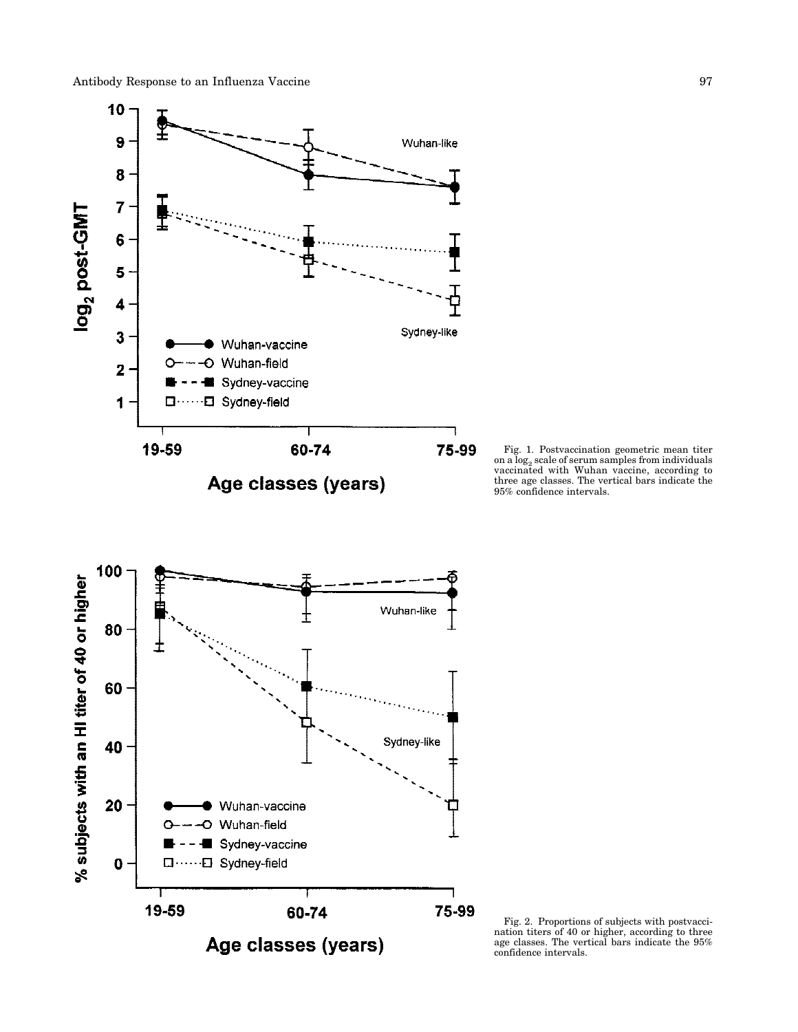

Fig. 1. Postvaccination geometric mean titer on a  $\log_2$  scale of serum samples from individuals vaccinated with Wuhan vaccine, according to three age classes. The vertical bars indicate the 95% confidence intervals.



Fig. 2. Proportions of subjects with postvaccination titers of 40 or higher, according to three age classes. The vertical bars indicate the 95% confidence intervals.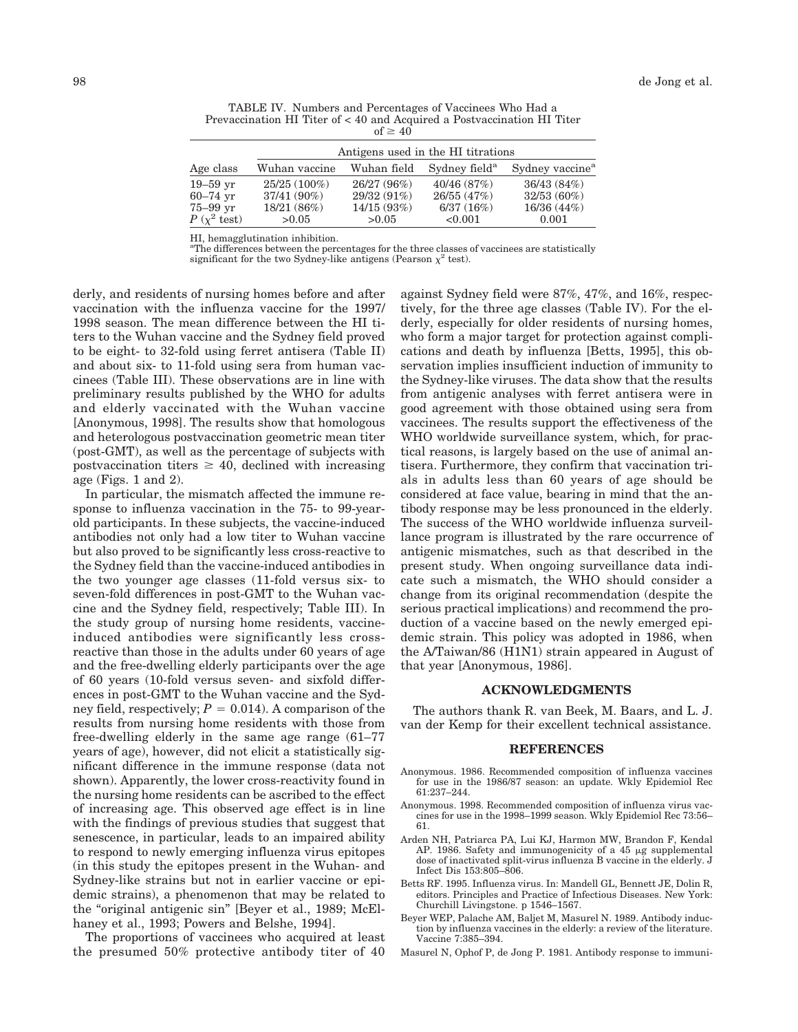| TABLE IV. Numbers and Percentages of Vaccinees Who Had a                |
|-------------------------------------------------------------------------|
| Prevaccination HI Titer of < 40 and Acquired a Postvaccination HI Titer |
| of $\geq 40$                                                            |

|                       | Antigens used in the HI titrations |                          |                           |                             |
|-----------------------|------------------------------------|--------------------------|---------------------------|-----------------------------|
| Age class             | Wuhan vaccine                      | Wuhan field              | Sydney field <sup>a</sup> | Sydney vaccine <sup>a</sup> |
| $19-59$ yr            | $25/25(100\%)$                     | 26/27 (96%)              | 40/46(87%)                | 36/43 (84%)                 |
| 60–74 yr<br>75–99 vr  | $37/41(90\%)$<br>18/21 (86%)       | 29/32(91%)<br>14/15(93%) | 26/55 (47%)<br>6/37(16%)  | $32/53(60\%)$<br>16/36(44%) |
| $P(x^2 \text{ test})$ | >0.05                              | >0.05                    | < 0.001                   | 0.001                       |

HI, hemagglutination inhibition.

<sup>a</sup>The differences between the percentages for the three classes of vaccinees are statistically significant for the two Sydney-like antigens (Pearson  $\chi^2$  test).

derly, and residents of nursing homes before and after vaccination with the influenza vaccine for the 1997/ 1998 season. The mean difference between the HI titers to the Wuhan vaccine and the Sydney field proved to be eight- to 32-fold using ferret antisera (Table II) and about six- to 11-fold using sera from human vaccinees (Table III). These observations are in line with preliminary results published by the WHO for adults and elderly vaccinated with the Wuhan vaccine [Anonymous, 1998]. The results show that homologous and heterologous postvaccination geometric mean titer (post-GMT), as well as the percentage of subjects with postvaccination titers  $\geq 40$ , declined with increasing age (Figs. 1 and 2).

In particular, the mismatch affected the immune response to influenza vaccination in the 75- to 99-yearold participants. In these subjects, the vaccine-induced antibodies not only had a low titer to Wuhan vaccine but also proved to be significantly less cross-reactive to the Sydney field than the vaccine-induced antibodies in the two younger age classes (11-fold versus six- to seven-fold differences in post-GMT to the Wuhan vaccine and the Sydney field, respectively; Table III). In the study group of nursing home residents, vaccineinduced antibodies were significantly less crossreactive than those in the adults under 60 years of age and the free-dwelling elderly participants over the age of 60 years (10-fold versus seven- and sixfold differences in post-GMT to the Wuhan vaccine and the Sydney field, respectively;  $P = 0.014$ ). A comparison of the results from nursing home residents with those from free-dwelling elderly in the same age range (61–77 years of age), however, did not elicit a statistically significant difference in the immune response (data not shown). Apparently, the lower cross-reactivity found in the nursing home residents can be ascribed to the effect of increasing age. This observed age effect is in line with the findings of previous studies that suggest that senescence, in particular, leads to an impaired ability to respond to newly emerging influenza virus epitopes (in this study the epitopes present in the Wuhan- and Sydney-like strains but not in earlier vaccine or epidemic strains), a phenomenon that may be related to the "original antigenic sin" [Beyer et al., 1989; McElhaney et al., 1993; Powers and Belshe, 1994].

The proportions of vaccinees who acquired at least the presumed 50% protective antibody titer of 40

against Sydney field were 87%, 47%, and 16%, respectively, for the three age classes (Table IV). For the elderly, especially for older residents of nursing homes, who form a major target for protection against complications and death by influenza [Betts, 1995], this observation implies insufficient induction of immunity to the Sydney-like viruses. The data show that the results from antigenic analyses with ferret antisera were in good agreement with those obtained using sera from vaccinees. The results support the effectiveness of the WHO worldwide surveillance system, which, for practical reasons, is largely based on the use of animal antisera. Furthermore, they confirm that vaccination trials in adults less than 60 years of age should be considered at face value, bearing in mind that the antibody response may be less pronounced in the elderly. The success of the WHO worldwide influenza surveillance program is illustrated by the rare occurrence of antigenic mismatches, such as that described in the present study. When ongoing surveillance data indicate such a mismatch, the WHO should consider a change from its original recommendation (despite the serious practical implications) and recommend the production of a vaccine based on the newly emerged epidemic strain. This policy was adopted in 1986, when the A/Taiwan/86 (H1N1) strain appeared in August of that year [Anonymous, 1986].

#### **ACKNOWLEDGMENTS**

The authors thank R. van Beek, M. Baars, and L. J. van der Kemp for their excellent technical assistance.

#### **REFERENCES**

- Anonymous. 1986. Recommended composition of influenza vaccines for use in the 1986/87 season: an update. Wkly Epidemiol Rec 61:237–244.
- Anonymous. 1998. Recommended composition of influenza virus vaccines for use in the 1998–1999 season. Wkly Epidemiol Rec 73:56– 61.
- Arden NH, Patriarca PA, Lui KJ, Harmon MW, Brandon F, Kendal AP. 1986. Safety and immunogenicity of a  $45 \mu$ g supplemental dose of inactivated split-virus influenza B vaccine in the elderly. J Infect Dis 153:805–806.
- Betts RF. 1995. Influenza virus. In: Mandell GL, Bennett JE, Dolin R, editors. Principles and Practice of Infectious Diseases. New York: Churchill Livingstone. p 1546–1567.
- Beyer WEP, Palache AM, Baljet M, Masurel N. 1989. Antibody induction by influenza vaccines in the elderly: a review of the literature. Vaccine 7:385–394.
- Masurel N, Ophof P, de Jong P. 1981. Antibody response to immuni-